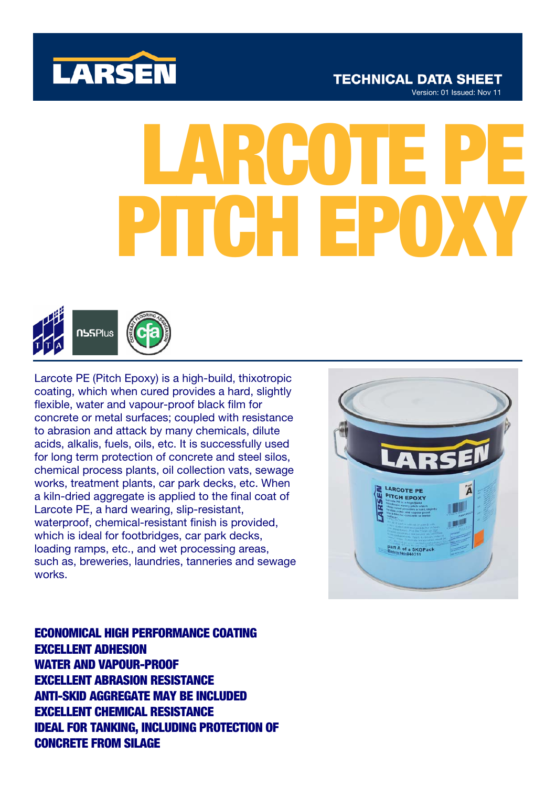

## **TECHNICAL DATA SHEET** Version: 01 Issued: Nov 11

# LARCOTE PE **PH**



Larcote PE (Pitch Epoxy) is a high-build, thixotropic coating, which when cured provides a hard, slightly flexible, water and vapour-proof black film for concrete or metal surfaces; coupled with resistance to abrasion and attack by many chemicals, dilute acids, alkalis, fuels, oils, etc. It is successfully used for long term protection of concrete and steel silos, chemical process plants, oil collection vats, sewage works, treatment plants, car park decks, etc. When a kiln-dried aggregate is applied to the final coat of Larcote PE, a hard wearing, slip-resistant, waterproof, chemical-resistant finish is provided, which is ideal for footbridges, car park decks, loading ramps, etc., and wet processing areas, such as, breweries, laundries, tanneries and sewage works.



ECONOMICAL HIGH PERFORMANCE COATING EXCELLENT ADHESION WATER AND VAPOUR-PROOF EXCELLENT ABRASION RESISTANCE ANTI-SKID AGGREGATE MAY BE INCLUDED EXCELLENT CHEMICAL RESISTANCE IDEAL FOR TANKING, INCLUDING PROTECTION OF CONCRETE FROM SILAGE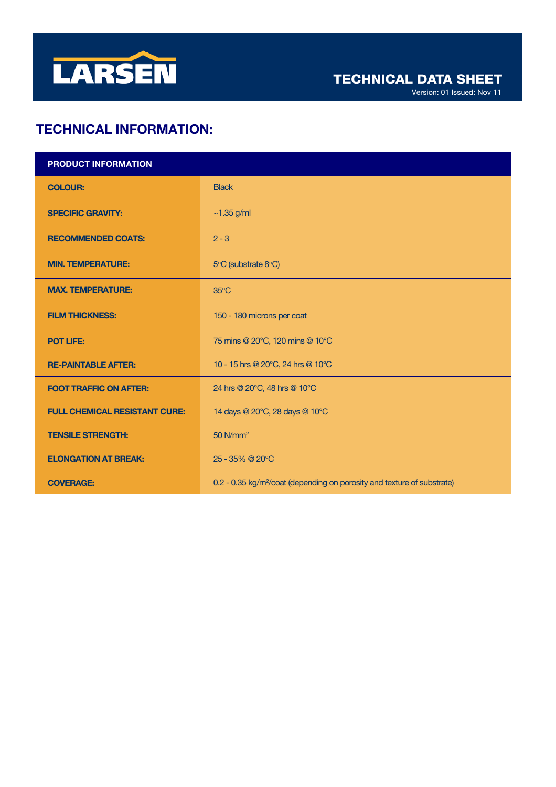

# TECHNICAL INFORMATION:

| <b>PRODUCT INFORMATION</b>           |                                                                                     |
|--------------------------------------|-------------------------------------------------------------------------------------|
| <b>COLOUR:</b>                       | <b>Black</b>                                                                        |
| <b>SPECIFIC GRAVITY:</b>             | $~1.35$ g/ml                                                                        |
| <b>RECOMMENDED COATS:</b>            | $2 - 3$                                                                             |
| <b>MIN. TEMPERATURE:</b>             | 5°C (substrate 8°C)                                                                 |
| <b>MAX. TEMPERATURE:</b>             | $35^{\circ}$ C                                                                      |
| <b>FILM THICKNESS:</b>               | 150 - 180 microns per coat                                                          |
| <b>POT LIFE:</b>                     | 75 mins @ 20°C, 120 mins @ 10°C                                                     |
| <b>RE-PAINTABLE AFTER:</b>           | 10 - 15 hrs @ 20°C, 24 hrs @ 10°C                                                   |
| <b>FOOT TRAFFIC ON AFTER:</b>        | 24 hrs @ 20°C, 48 hrs @ 10°C                                                        |
| <b>FULL CHEMICAL RESISTANT CURE:</b> | 14 days @ 20°C, 28 days @ 10°C                                                      |
| <b>TENSILE STRENGTH:</b>             | $50$ N/mm <sup>2</sup>                                                              |
| <b>ELONGATION AT BREAK:</b>          | 25 - 35% @ 20°C                                                                     |
| <b>COVERAGE:</b>                     | 0.2 - 0.35 kg/m <sup>2</sup> /coat (depending on porosity and texture of substrate) |